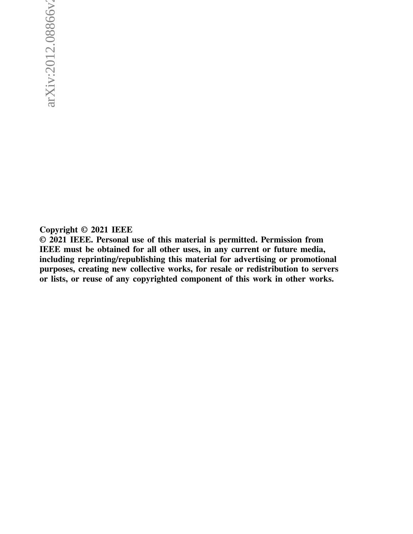Copyright © 2021 IEEE

© 2021 IEEE. Personal use of this material is permitted. Permission from IEEE must be obtained for all other uses, in any current or future media, including reprinting/republishing this material for advertising or promotional purposes, creating new collective works, for resale or redistribution to servers or lists, or reuse of any copyrighted component of this work in other works. Copyright  $\odot$  2021 IEEE<br>Copyright  $\odot$  2021 IEEE<br> $\odot$  2021 IEEE. Personal use of this material is permitted. Permission from<br> $\odot$  2021 IEEE. Personal use of this material is permitted. Permission from<br>purposes, creat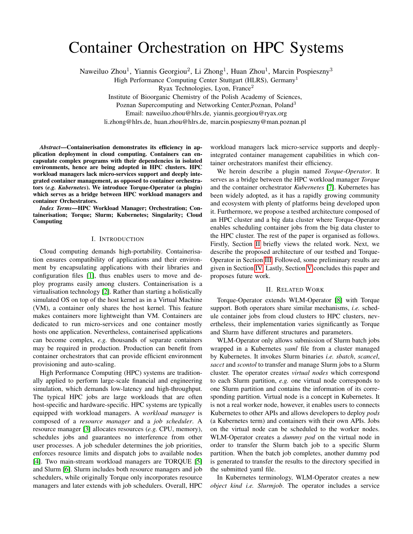# Container Orchestration on HPC Systems

Naweiluo Zhou<sup>1</sup>, Yiannis Georgiou<sup>2</sup>, Li Zhong<sup>1</sup>, Huan Zhou<sup>1</sup>, Marcin Pospieszny<sup>3</sup>

High Performance Computing Center Stuttgart (HLRS), Germany<sup>1</sup>

Ryax Technologies, Lyon, France<sup>2</sup>

Institute of Bioorganic Chemistry of the Polish Academy of Sciences,

Poznan Supercomputing and Networking Center,Poznan, Poland<sup>3</sup>

Email: naweiluo.zhou@hlrs.de, yiannis.georgiou@ryax.org

li.zhong@hlrs.de, huan.zhou@hlrs.de, marcin.pospieszny@man.poznan.pl

*Abstract*—Containerisation demonstrates its efficiency in application deployment in cloud computing. Containers can encapsulate complex programs with their dependencies in isolated environments, hence are being adopted in HPC clusters. HPC workload managers lack micro-services support and deeply integrated container management, as opposed to container orchestrators (*e.g. Kubernetes*). We introduce Torque-Operator (a plugin) which serves as a bridge between HPC workload managers and container Orchestrators.

*Index Terms*—HPC Workload Manager; Orchestration; Containerisation; Torque; Slurm; Kubernetes; Singularity; Cloud Computing

# I. INTRODUCTION

Cloud computing demands high-portability. Containerisation ensures compatibility of applications and their environment by encapsulating applications with their libraries and configuration files [\[1\]](#page-3-0), thus enables users to move and deploy programs easily among clusters. Containerisation is a virtualisation technology [\[2\]](#page-3-1). Rather than starting a holistically simulated OS on top of the host kernel as in a Virtual Machine (VM), a container only shares the host kernel. This feature makes containers more lightweight than VM. Containers are dedicated to run micro-services and one container mostly hosts one application. Nevertheless, containerised applications can become complex, *e.g.* thousands of separate containers may be required in production. Production can benefit from container orchestrators that can provide efficient environment provisioning and auto-scaling.

High Performance Computing (HPC) systems are traditionally applied to perform large-scale financial and engineering simulation, which demands low-latency and high-throughput. The typical HPC jobs are large workloads that are often host-specific and hardware-specific. HPC systems are typically equipped with workload managers. A *workload manager* is composed of a *resource manager* and a *job scheduler*. A resource manager [\[3\]](#page-3-2) allocates resources (*e.g.* CPU, memory), schedules jobs and guarantees no interference from other user processes. A job scheduler determines the job priorities, enforces resource limits and dispatch jobs to available nodes [\[4\]](#page-3-3). Two main-stream workload managers are TORQUE [\[5\]](#page-3-4) and Slurm [\[6\]](#page-3-5). Slurm includes both resource managers and job schedulers, while originally Torque only incorporates resource managers and later extends with job schedulers. Overall, HPC workload managers lack micro-service supports and deeplyintegrated container management capabilities in which container orchestrators manifest their efficiency.

We herein describe a plugin named *Torque-Operator*. It serves as a bridge between the HPC workload manager *Torque* and the container orchestrator *Kubernetes* [\[7\]](#page-3-6). Kubernetes has been widely adopted, as it has a rapidly growing community and ecosystem with plenty of platforms being developed upon it. Furthermore, we propose a testbed architecture composed of an HPC cluster and a big data cluster where Torque-Operator enables scheduling container jobs from the big data cluster to the HPC cluster. The rest of the paper is organised as follows. Firstly, Section [II](#page-1-0) briefly views the related work. Next, we describe the proposed architecture of our testbed and Torque-Operator in Section [III.](#page-2-0) Followed, some preliminary results are given in Section [IV.](#page-3-7) Lastly, Section [V](#page-3-8) concludes this paper and proposes future work.

# II. RELATED WORK

<span id="page-1-0"></span>Torque-Operator extends WLM-Operator [\[8\]](#page-3-9) with Torque support. Both operators share similar mechanisms, *i.e.* schedule container jobs from cloud clusters to HPC clusters, nevertheless, their implementation varies significantly as Torque and Slurm have different structures and parameters.

WLM-Operator only allows submission of Slurm batch jobs wrapped in a Kubernetes *yaml* file from a cluster managed by Kubernetes. It invokes Slurm binaries *i.e. sbatch*, *scancel*, *sacct* and *scontol* to transfer and manage Slurm jobs to a Slurm cluster. The operator creates *virtual nodes* which correspond to each Slurm partition, *e.g.* one virtual node corresponds to one Slurm partition and contains the information of its corresponding partition. Virtual node is a concept in Kubernetes. It is not a real worker node, however, it enables users to connects Kubernetes to other APIs and allows developers to deploy *pods* (a Kubernetes term) and containers with their own APIs. Jobs on the virtual node can be scheduled to the worker nodes. WLM-Operator creates a *dummy pod* on the virtual node in order to transfer the Slurm batch job to a specific Slurm partition. When the batch job completes, another dummy pod is generated to transfer the results to the directory specified in the submitted yaml file.

In Kubernetes terminology, WLM-Operator creates a new *object kind i.e. Slurmjob*. The operator includes a service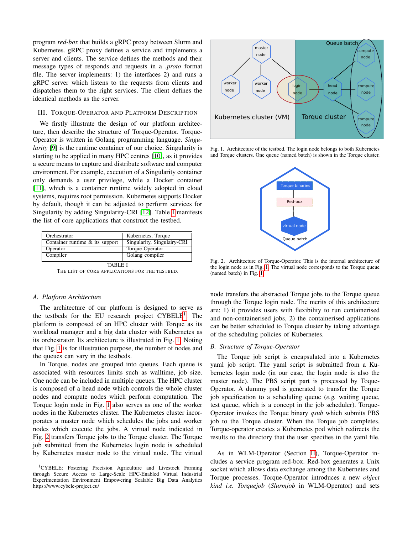program *red-box* that builds a gRPC proxy between Slurm and Kubernetes. gRPC proxy defines a service and implements a server and clients. The service defines the methods and their message types of responds and requests in a *.proto* format file. The server implements: 1) the interfaces 2) and runs a gRPC server which listens to the requests from clients and dispatches them to the right services. The client defines the identical methods as the server.

# <span id="page-2-0"></span>III. TORQUE-OPERATOR AND PLATFORM DESCRIPTION

We firstly illustrate the design of our platform architecture, then describe the structure of Torque-Operator. Torque-Operator is written in Golang programming language. *Singularity* [\[9\]](#page-3-10) is the runtime container of our choice. Singularity is starting to be applied in many HPC centres [\[10\]](#page-3-11), as it provides a secure means to capture and distribute software and computer environment. For example, execution of a Singularity container only demands a user privilege, while a Docker container [\[11\]](#page-3-12), which is a container runtime widely adopted in cloud systems, requires root permission. Kubernetes supports Docker by default, though it can be adjusted to perform services for Singularity by adding Singularity-CRI [\[12\]](#page-3-13). Table [I](#page-2-1) manifests the list of core applications that construct the testbed.

| Orchestrator                       | Kubernetes, Torque          |
|------------------------------------|-----------------------------|
| Container runtime $\&$ its support | Singularity, Singulairy-CRI |
| Operator                           | Torque-Operator             |
| Compiler                           | Golang compiler             |
| TARI H                             |                             |

<span id="page-2-1"></span>THE LIST OF CORE APPLICATIONS FOR THE TESTBED.

## *A. Platform Architecture*

The architecture of our platform is designed to serve as the testbeds for the EU research project CYBELE<sup>[1](#page-2-2)</sup>. The platform is composed of an HPC cluster with Torque as its workload manager and a big data cluster with Kubernetes as its orchestrator. Its architecture is illustrated in Fig. [1.](#page-2-3) Noting that Fig. [1](#page-2-3) is for illustration purpose, the number of nodes and the queues can vary in the testbeds.

In Torque, nodes are grouped into queues. Each queue is associated with resources limits such as walltime, job size. One node can be included in multiple queues. The HPC cluster is composed of a head node which controls the whole cluster nodes and compute nodes which perform computation. The Torque login node in Fig. [1](#page-2-3) also serves as one of the worker nodes in the Kubernetes cluster. The Kubernetes cluster incorporates a master node which schedules the jobs and worker nodes which execute the jobs. A virtual node indicated in Fig. [2](#page-2-4) transfers Torque jobs to the Torque cluster. The Torque job submitted from the Kubernetes login node is scheduled by Kubernetes master node to the virtual node. The virtual



<span id="page-2-3"></span>Fig. 1. Architecture of the testbed. The login node belongs to both Kubernetes and Torque clusters. One queue (named batch) is shown in the Torque cluster.



<span id="page-2-4"></span>Fig. 2. Architecture of Torque-Operator. This is the internal architecture of the login node as in Fig. [1.](#page-2-3) The virtual node corresponds to the Torque queue (named batch) in Fig. [1](#page-2-3)

node transfers the abstracted Torque jobs to the Torque queue through the Torque login node. The merits of this architecture are: 1) it provides users with flexibility to run containerised and non-containerised jobs, 2) the containerised applications can be better scheduled to Torque cluster by taking advantage of the scheduling policies of Kubernetes.

#### *B. Structure of Torque-Operator*

The Torque job script is encapsulated into a Kubernetes yaml job script. The yaml script is submitted from a Kubernetes login node (in our case, the login node is also the master node). The PBS script part is processed by Toque-Operator. A dummy pod is generated to transfer the Torque job specification to a scheduling queue (*e.g.* waiting queue, test queue, which is a concept in the job scheduler). Torque-Operator invokes the Torque binary *qsub* which submits PBS job to the Torque cluster. When the Torque job completes, Torque-operator creates a Kubernetes pod which redirects the results to the directory that the user specifies in the yaml file.

As in WLM-Operator (Section [II\)](#page-1-0), Torque-Operator includes a service program red-box. Red-box generates a Unix socket which allows data exchange among the Kubernetes and Torque processes. Torque-Operator introduces a new *object kind i.e. Torquejob* (*Slurmjob* in WLM-Operator) and sets

<span id="page-2-2"></span><sup>&</sup>lt;sup>1</sup>CYBELE: Fostering Precision Agriculture and Livestock Farming through Secure Access to Large-Scale HPC-Enabled Virtual Industrial Experimentation Environment Empowering Scalable Big Data Analytics https://www.cybele-project.eu/